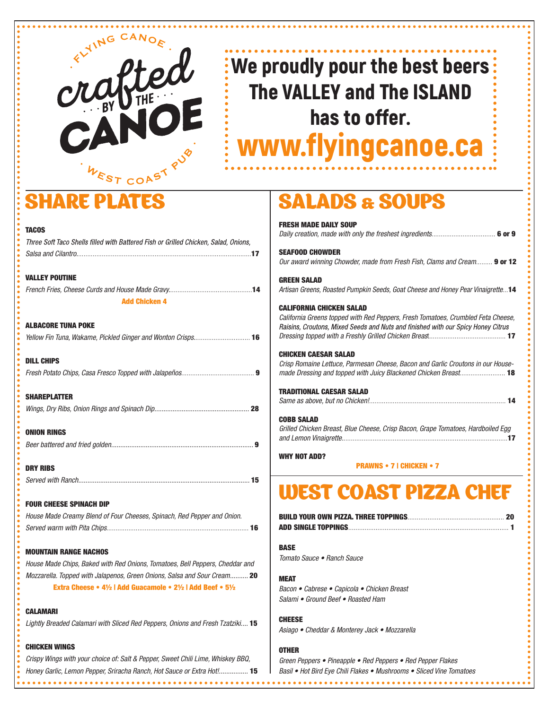

# We proudly pour the best beers The VALLEY and The ISLAND has to offer. www.flyingcanoe.ca

# SHARE PLATES

T.

 $\overline{I}$ 

D

CALAMARI

| <b>TACOS</b>                                                                        |  |
|-------------------------------------------------------------------------------------|--|
| Three Soft Taco Shells filled with Battered Fish or Grilled Chicken, Salad, Onions, |  |
|                                                                                     |  |
| <b>VALLEY POUTINE</b>                                                               |  |
|                                                                                     |  |
| <b>Add Chicken 4</b>                                                                |  |
| ALBACORE TUNA POKE                                                                  |  |
| Yellow Fin Tuna, Wakame, Pickled Ginger and Wonton Crisps 16                        |  |
| DILL CHIPS                                                                          |  |
|                                                                                     |  |
| SHAREPLATTER                                                                        |  |
|                                                                                     |  |
| ONION RINGS                                                                         |  |
|                                                                                     |  |
| <b>DRY RIBS</b>                                                                     |  |
|                                                                                     |  |
| <b>Four cheese spinach dip</b>                                                      |  |
| House Made Creamy Blend of Four Cheeses, Spinach, Red Pepper and Onion.             |  |
|                                                                                     |  |
| <b>MOUNTAIN RANGE NACHOS</b>                                                        |  |
| House Made Chips, Baked with Red Onions, Tomatoes, Bell Peppers, Cheddar and        |  |
| Mozzarella. Topped with Jalapenos, Green Onions, Salsa and Sour Cream 20            |  |
| Extra Cheese • 41/2   Add Guacamole • 21/2   Add Beef • 51/2                        |  |
| CALAMARI                                                                            |  |
| Lightly Breaded Calamari with Sliced Red Peppers, Onions and Fresh Tzatziki 15      |  |

### CHICKEN WINGS

*Crispy Wings with your choice of: Salt & Pepper, Sweet Chili Lime, Whiskey BBQ, Honey Garlic, Lemon Pepper, Sriracha Ranch, Hot Sauce or Extra Hot!................* 15

## DS & SOUPS

| <b>SEAFOOD CHOWDER</b>                                                           |
|----------------------------------------------------------------------------------|
| Our award winning Chowder, made from Fresh Fish, Clams and Cream 9 or 12         |
| <b>GREEN SALAD</b>                                                               |
| Artisan Greens, Roasted Pumpkin Seeds, Goat Cheese and Honey Pear Vinaigrette14  |
| <b>CALIFORNIA CHICKEN SALAD</b>                                                  |
| California Greens topped with Red Peppers, Fresh Tomatoes, Crumbled Feta Cheese, |
| Raisins, Croutons, Mixed Seeds and Nuts and finished with our Spicy Honey Citrus |
|                                                                                  |
| <b>CHICKEN CAESAR SALAD</b>                                                      |
| Crisp Romaine Lettuce, Parmesan Cheese, Bacon and Garlic Croutons in our House-  |
| made Dressing and topped with Juicy Blackened Chicken Breast 18                  |
| <b>TRADITIONAL CAESAR SALAD</b>                                                  |
|                                                                                  |
| <b>COBB SALAD</b>                                                                |
| Grilled Chicken Breast, Blue Cheese, Crisp Bacon, Grape Tomatoes, Hardboiled Egg |
|                                                                                  |
| <b>WHY NOT ADD?</b>                                                              |
| <b>PRAWNS • 7   CHICKEN • 7</b>                                                  |
|                                                                                  |
| <b>WEST COAST PIZZA CHEF</b>                                                     |
|                                                                                  |
|                                                                                  |

### **ISE**

*Toma*to Sauce • Ranch Sauce

### EAT

Bacon • Cabrese • C*a*picola • Chicken Breast **Jami • Ground Beef • Roasted Ham** 

### **IEESE**

*Asia*go • Cheddar & Monterey Jack • Mozzarella

### OTHER

*Green P*eppers • Pine*a*pple • Red *P*eppers • Red *Pepper Flakes* Basil • Hot Bird Eye Chili Flakes • Mushrooms • Sliced *Vine Tomatoes*